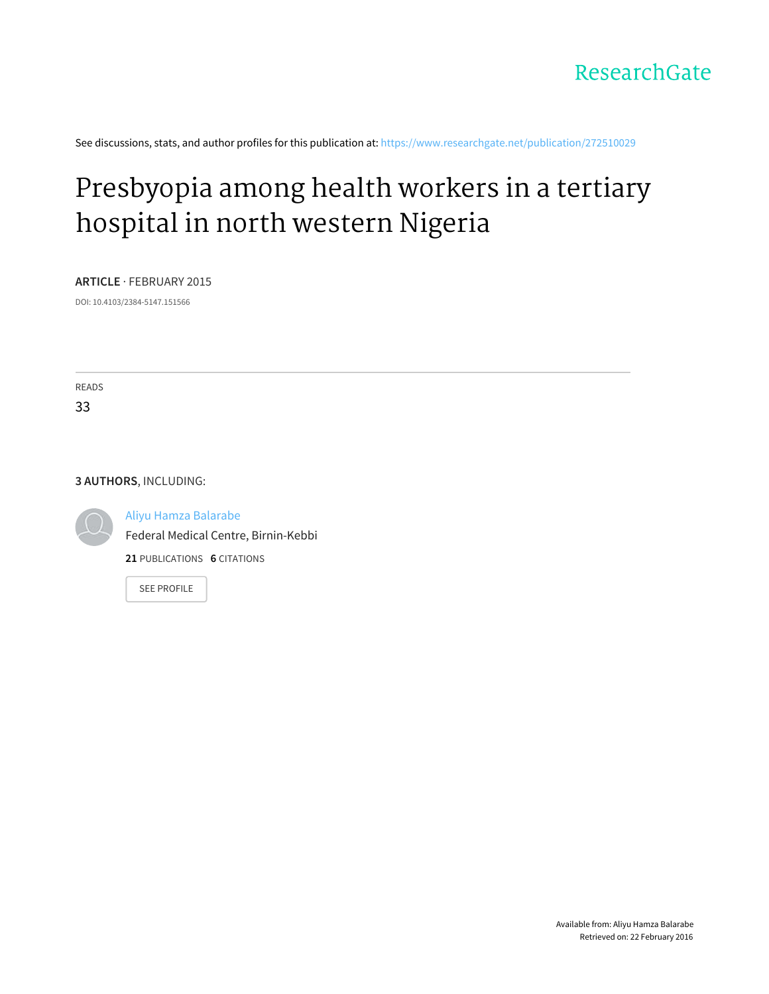See discussions, stats, and author profiles for this publication at: [https://www.researchgate.net/publication/272510029](https://www.researchgate.net/publication/272510029_Presbyopia_among_health_workers_in_a_tertiary_hospital_in_north_western_Nigeria?enrichId=rgreq-60751675-7012-498f-a15e-4c76ece54bd0&enrichSource=Y292ZXJQYWdlOzI3MjUxMDAyOTtBUzoxOTkyMDA1MDQ1ODYyNDhAMTQyNDUwNDUwOTkxOQ%3D%3D&el=1_x_2)

## [Presbyopia](https://www.researchgate.net/publication/272510029_Presbyopia_among_health_workers_in_a_tertiary_hospital_in_north_western_Nigeria?enrichId=rgreq-60751675-7012-498f-a15e-4c76ece54bd0&enrichSource=Y292ZXJQYWdlOzI3MjUxMDAyOTtBUzoxOTkyMDA1MDQ1ODYyNDhAMTQyNDUwNDUwOTkxOQ%3D%3D&el=1_x_3) among health workers in a tertiary hospital in north western Nigeria

**ARTICLE** · FEBRUARY 2015

DOI: 10.4103/2384-5147.151566

READS 33

#### **3 AUTHORS**, INCLUDING:



Aliyu Hamza [Balarabe](https://www.researchgate.net/profile/Aliyu_Balarabe?enrichId=rgreq-60751675-7012-498f-a15e-4c76ece54bd0&enrichSource=Y292ZXJQYWdlOzI3MjUxMDAyOTtBUzoxOTkyMDA1MDQ1ODYyNDhAMTQyNDUwNDUwOTkxOQ%3D%3D&el=1_x_5)

Federal Medical Centre, [Birnin-Kebbi](https://www.researchgate.net/institution/Federal_Medical_Centre_Birnin-Kebbi?enrichId=rgreq-60751675-7012-498f-a15e-4c76ece54bd0&enrichSource=Y292ZXJQYWdlOzI3MjUxMDAyOTtBUzoxOTkyMDA1MDQ1ODYyNDhAMTQyNDUwNDUwOTkxOQ%3D%3D&el=1_x_6)

**21** PUBLICATIONS **6** CITATIONS

SEE [PROFILE](https://www.researchgate.net/profile/Aliyu_Balarabe?enrichId=rgreq-60751675-7012-498f-a15e-4c76ece54bd0&enrichSource=Y292ZXJQYWdlOzI3MjUxMDAyOTtBUzoxOTkyMDA1MDQ1ODYyNDhAMTQyNDUwNDUwOTkxOQ%3D%3D&el=1_x_7)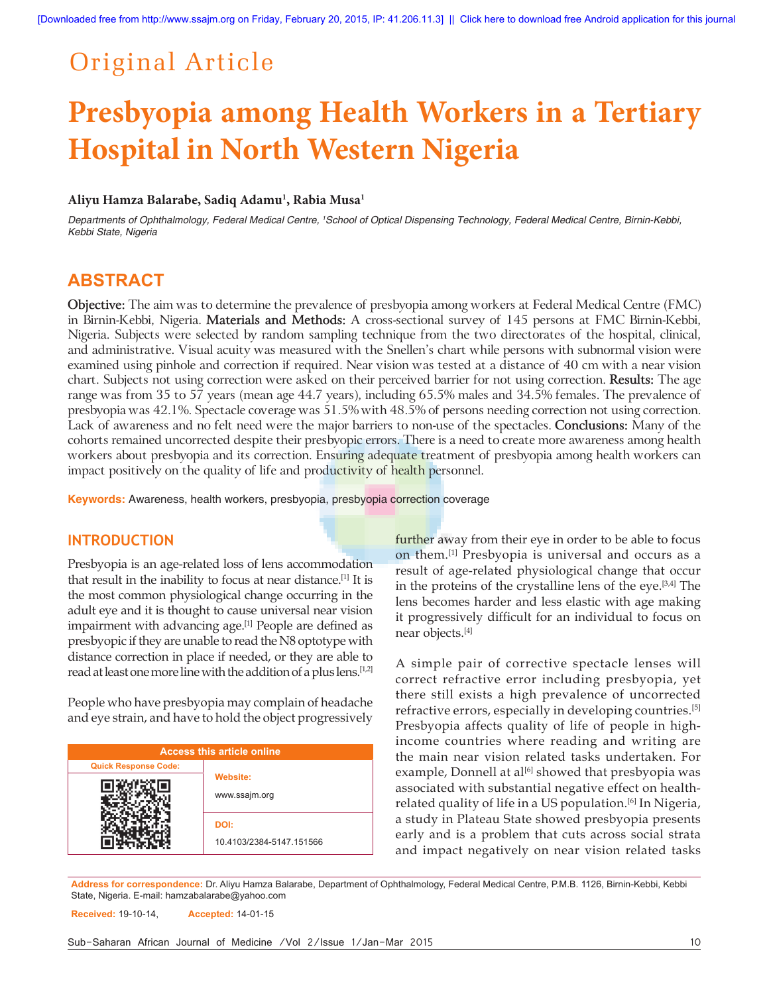## Original Article

# **Presbyopia among Health Workers in a Tertiary Hospital in North Western Nigeria**

## **Aliyu Hamza Balarabe, Sadiq Adamu1 , Rabia Musa1**

Departments of Ophthalmology, Federal Medical Centre, <sup>1</sup>School of Optical Dispensing Technology, Federal Medical Centre, Birnin-Kebbi, *Kebbi State, Nigeria*

## **ABSTRACT**

**Objective:** The aim was to determine the prevalence of presbyopia among workers at Federal Medical Centre (FMC) in Birnin-Kebbi, Nigeria. **Materials and Methods:** A cross-sectional survey of 145 persons at FMC Birnin-Kebbi, Nigeria. Subjects were selected by random sampling technique from the two directorates of the hospital, clinical, and administrative. Visual acuity was measured with the Snellen's chart while persons with subnormal vision were examined using pinhole and correction if required. Near vision was tested at a distance of 40 cm with a near vision chart. Subjects not using correction were asked on their perceived barrier for not using correction. **Results:** The age range was from 35 to 57 years (mean age 44.7 years), including 65.5% males and 34.5% females. The prevalence of presbyopia was 42.1%. Spectacle coverage was 51.5% with 48.5% of persons needing correction not using correction. Lack of awareness and no felt need were the major barriers to non-use of the spectacles. **Conclusions:** Many of the cohorts remained uncorrected despite their presbyopic errors. There is a need to create more awareness among health workers about presbyopia and its correction. Ensuring adequate treatment of presbyopia among health workers can impact positively on the quality of life and productivity of health personnel.

**Keywords:** Awareness, health workers, presbyopia, presbyopia correction coverage

## **INTRODUCTION**

Presbyopia is an age-related loss of lens accommodation that result in the inability to focus at near distance.[1] It is the most common physiological change occurring in the adult eye and it is thought to cause universal near vision impairment with advancing age.<sup>[1]</sup> People are defined as presbyopic if they are unable to read the N8 optotype with distance correction in place if needed, or they are able to read at least one more line with the addition of a plus lens.<sup>[1,2]</sup>

People who have presbyopia may complain of headache and eye strain, and have to hold the object progressively

| <b>Access this article online</b> |                                  |  |  |
|-----------------------------------|----------------------------------|--|--|
| <b>Quick Response Code:</b>       |                                  |  |  |
|                                   | <b>Website:</b><br>www.ssajm.org |  |  |
|                                   | DOI:<br>10.4103/2384-5147.151566 |  |  |

further away from their eye in order to be able to focus on them.[1] Presbyopia is universal and occurs as a result of age-related physiological change that occur in the proteins of the crystalline lens of the eye.[3,4] The lens becomes harder and less elastic with age making it progressively difficult for an individual to focus on near objects.[4]

A simple pair of corrective spectacle lenses will correct refractive error including presbyopia, yet there still exists a high prevalence of uncorrected refractive errors, especially in developing countries.[5] Presbyopia affects quality of life of people in highincome countries where reading and writing are the main near vision related tasks undertaken. For example, Donnell at al<sup>[6]</sup> showed that presbyopia was associated with substantial negative effect on healthrelated quality of life in a US population.[6] In Nigeria, a study in Plateau State showed presbyopia presents early and is a problem that cuts across social strata and impact negatively on near vision related tasks

**Address for correspondence:** Dr. Aliyu Hamza Balarabe, Department of Ophthalmology, Federal Medical Centre, P.M.B. 1126, Birnin-Kebbi, Kebbi State, Nigeria. E-mail: hamzabalarabe@yahoo.com

**Received:** 19-10-14, **Accepted:** 14-01-15

Sub-Saharan African Journal of Medicine /Vol 2/Issue 1/Jan-Mar 2015 10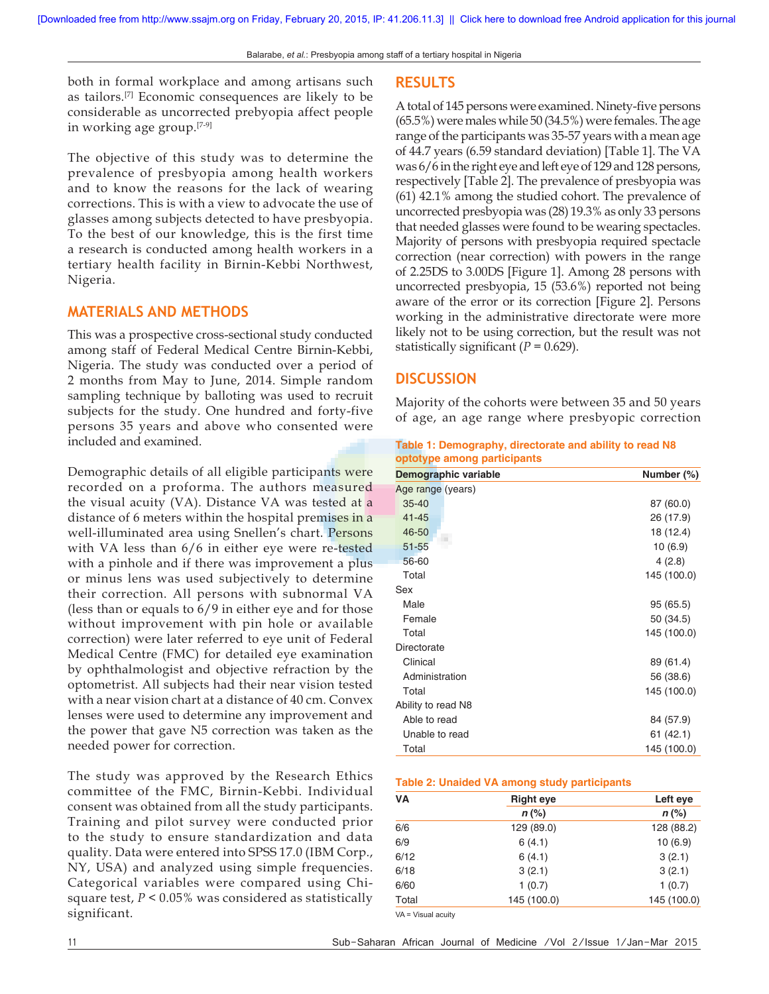both in formal workplace and among artisans such as tailors.[7] Economic consequences are likely to be considerable as uncorrected prebyopia affect people in working age group.[7-9]

The objective of this study was to determine the prevalence of presbyopia among health workers and to know the reasons for the lack of wearing corrections. This is with a view to advocate the use of glasses among subjects detected to have presbyopia. To the best of our knowledge, this is the first time a research is conducted among health workers in a tertiary health facility in Birnin-Kebbi Northwest, Nigeria.

## **MATERIALS AND METHODS**

This was a prospective cross-sectional study conducted among staff of Federal Medical Centre Birnin-Kebbi, Nigeria. The study was conducted over a period of 2 months from May to June, 2014. Simple random sampling technique by balloting was used to recruit subjects for the study. One hundred and forty-five persons 35 years and above who consented were included and examined.

Demographic details of all eligible participants were recorded on a proforma. The authors measured the visual acuity (VA). Distance VA was tested at a distance of 6 meters within the hospital premises in a well-illuminated area using Snellen's chart. Persons with VA less than  $6/6$  in either eye were re-tested with a pinhole and if there was improvement a plus or minus lens was used subjectively to determine their correction. All persons with subnormal VA (less than or equals to 6/9 in either eye and for those without improvement with pin hole or available correction) were later referred to eye unit of Federal Medical Centre (FMC) for detailed eye examination by ophthalmologist and objective refraction by the optometrist. All subjects had their near vision tested with a near vision chart at a distance of 40 cm. Convex lenses were used to determine any improvement and the power that gave N5 correction was taken as the needed power for correction.

The study was approved by the Research Ethics committee of the FMC, Birnin-Kebbi. Individual consent was obtained from all the study participants. Training and pilot survey were conducted prior to the study to ensure standardization and data quality. Data were entered into SPSS 17.0 (IBM Corp., NY, USA) and analyzed using simple frequencies. Categorical variables were compared using Chisquare test, *P* < 0.05% was considered as statistically significant.

#### **RESULTS**

A total of 145 persons were examined. Ninety-five persons (65.5%) were males while 50 (34.5%) were females. The age range of the participants was 35-57 years with a mean age of 44.7 years (6.59 standard deviation) [Table 1]. The VA was 6/6 in the right eye and left eye of 129 and 128 persons, respectively [Table 2]. The prevalence of presbyopia was (61) 42.1% among the studied cohort. The prevalence of uncorrected presbyopia was (28) 19.3% as only 33 persons that needed glasses were found to be wearing spectacles. Majority of persons with presbyopia required spectacle correction (near correction) with powers in the range of 2.25DS to 3.00DS [Figure 1]. Among 28 persons with uncorrected presbyopia, 15 (53.6%) reported not being aware of the error or its correction [Figure 2]. Persons working in the administrative directorate were more likely not to be using correction, but the result was not statistically significant  $(P = 0.629)$ .

## **DISCUSSION**

Majority of the cohorts were between 35 and 50 years of age, an age range where presbyopic correction

| Table 1: Demography, directorate and ability to read N8 |  |  |
|---------------------------------------------------------|--|--|
| optotype among participants                             |  |  |

| Demographic variable | Number (%)  |
|----------------------|-------------|
| Age range (years)    |             |
| $35 - 40$            | 87 (60.0)   |
| $41 - 45$            | 26 (17.9)   |
| 46-50                | 18 (12.4)   |
| $51 - 55$            | 10(6.9)     |
| 56-60                | 4(2.8)      |
| Total                | 145 (100.0) |
| Sex                  |             |
| Male                 | 95 (65.5)   |
| Female               | 50 (34.5)   |
| Total                | 145 (100.0) |
| Directorate          |             |
| Clinical             | 89 (61.4)   |
| Administration       | 56 (38.6)   |
| Total                | 145 (100.0) |
| Ability to read N8   |             |
| Able to read         | 84 (57.9)   |
| Unable to read       | 61 (42.1)   |
| Total                | 145 (100.0) |

#### **Table 2: Unaided VA among study participants**

| VA    | <b>Right eye</b> | Left eye    |  |
|-------|------------------|-------------|--|
|       | $n$ (%)          | $n$ (%)     |  |
| 6/6   | 129 (89.0)       | 128 (88.2)  |  |
| 6/9   | 6(4.1)           | 10(6.9)     |  |
| 6/12  | 6(4.1)           | 3(2.1)      |  |
| 6/18  | 3(2.1)           | 3(2.1)      |  |
| 6/60  | 1(0.7)           | 1(0.7)      |  |
| Total | 145 (100.0)      | 145 (100.0) |  |

VA = Visual acuity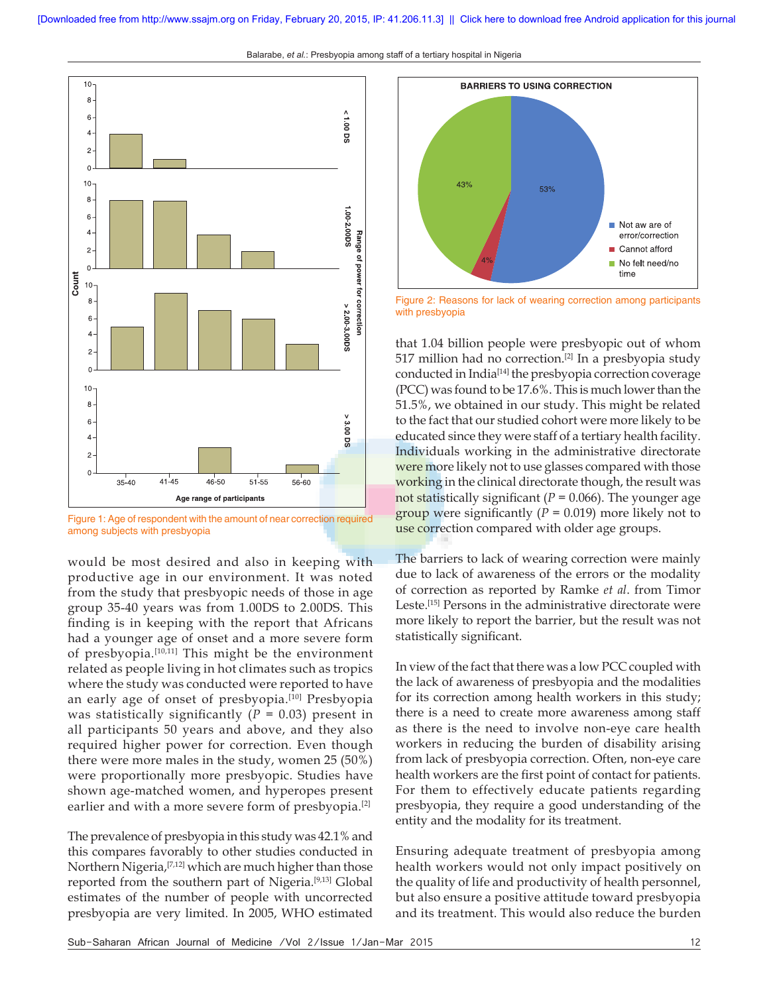Balarabe, *et al.*: Presbyopia among staff of a tertiary hospital in Nigeria



Figure 1: Age of respondent with the amount of near correction required among subjects with presbyopia

would be most desired and also in keeping with productive age in our environment. It was noted from the study that presbyopic needs of those in age group 35-40 years was from 1.00DS to 2.00DS. This finding is in keeping with the report that Africans had a younger age of onset and a more severe form of presbyopia.[10,11] This might be the environment related as people living in hot climates such as tropics where the study was conducted were reported to have an early age of onset of presbyopia.[10] Presbyopia was statistically significantly  $(P = 0.03)$  present in all participants 50 years and above, and they also required higher power for correction. Even though there were more males in the study, women 25 (50%) were proportionally more presbyopic. Studies have shown age-matched women, and hyperopes present earlier and with a more severe form of presbyopia.<sup>[2]</sup>

The prevalence of presbyopia in this study was 42.1% and this compares favorably to other studies conducted in Northern Nigeria,[7,12] which are much higher than those reported from the southern part of Nigeria.[9,13] Global estimates of the number of people with uncorrected presbyopia are very limited. In 2005, WHO estimated



Figure 2: Reasons for lack of wearing correction among participants with presbyopia

that 1.04 billion people were presbyopic out of whom 517 million had no correction.[2] In a presbyopia study conducted in India[14] the presbyopia correction coverage (PCC) was found to be 17.6%. This is much lower than the 51.5%, we obtained in our study. This might be related to the fact that our studied cohort were more likely to be educated since they were staff of a tertiary health facility. Individuals working in the administrative directorate were more likely not to use glasses compared with those working in the clinical directorate though, the result was not statistically significant ( $P = 0.066$ ). The younger age group were significantly  $(P = 0.019)$  more likely not to use correction compared with older age groups.

The barriers to lack of wearing correction were mainly due to lack of awareness of the errors or the modality of correction as reported by Ramke *et al*. from Timor Leste.[15] Persons in the administrative directorate were more likely to report the barrier, but the result was not statistically significant.

In view of the fact that there was a low PCC coupled with the lack of awareness of presbyopia and the modalities for its correction among health workers in this study; there is a need to create more awareness among staff as there is the need to involve non-eye care health workers in reducing the burden of disability arising from lack of presbyopia correction. Often, non-eye care health workers are the first point of contact for patients. For them to effectively educate patients regarding presbyopia, they require a good understanding of the entity and the modality for its treatment.

Ensuring adequate treatment of presbyopia among health workers would not only impact positively on the quality of life and productivity of health personnel, but also ensure a positive attitude toward presbyopia and its treatment. This would also reduce the burden